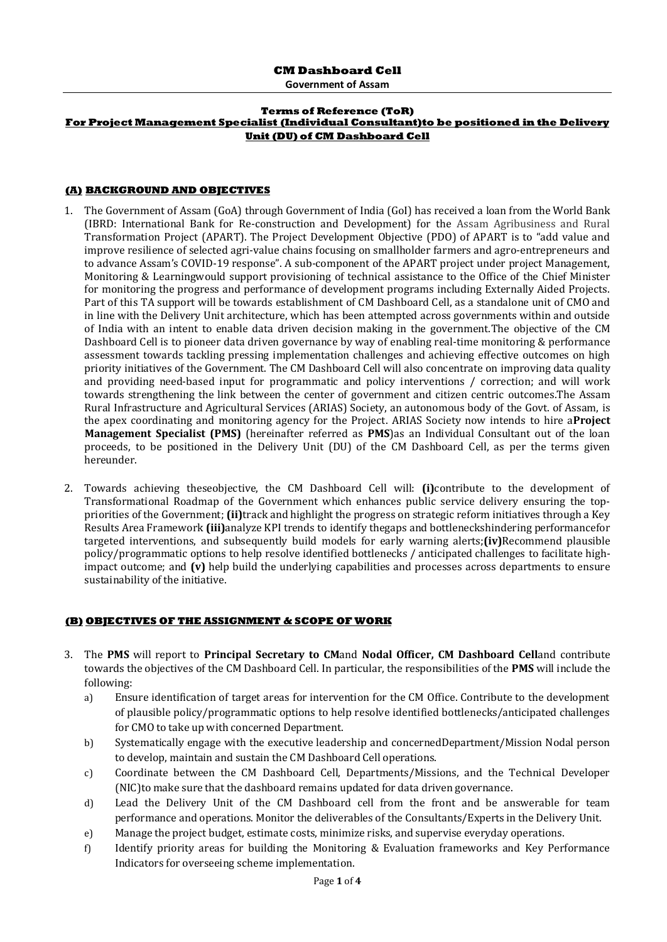**Government of Assam**

#### **Terms of Reference (ToR) For Project Management Specialist (Individual Consultant)to be positioned in the Delivery Unit (DU) of CM Dashboard Cell**

### **(A) BACKGROUND AND OBJECTIVES**

- 1. The Government of Assam (GoA) through Government of India (GoI) has received a loan from the World Bank (IBRD: International Bank for Re-construction and Development) for the Assam Agribusiness and Rural Transformation Project (APART). The Project Development Objective (PDO) of APART is to "add value and improve resilience of selected agri-value chains focusing on smallholder farmers and agro-entrepreneurs and to advance Assam's COVID-19 response". A sub-component of the APART project under project Management, Monitoring & Learningwould support provisioning of technical assistance to the Office of the Chief Minister for monitoring the progress and performance of development programs including Externally Aided Projects. Part of this TA support will be towards establishment of CM Dashboard Cell, as a standalone unit of CMO and in line with the Delivery Unit architecture, which has been attempted across governments within and outside of India with an intent to enable data driven decision making in the government.The objective of the CM Dashboard Cell is to pioneer data driven governance by way of enabling real-time monitoring & performance assessment towards tackling pressing implementation challenges and achieving effective outcomes on high priority initiatives of the Government. The CM Dashboard Cell will also concentrate on improving data quality and providing need-based input for programmatic and policy interventions / correction; and will work towards strengthening the link between the center of government and citizen centric outcomes.The Assam Rural Infrastructure and Agricultural Services (ARIAS) Society, an autonomous body of the Govt. of Assam, is the apex coordinating and monitoring agency for the Project. ARIAS Society now intends to hire a**Project Management Specialist (PMS)** (hereinafter referred as **PMS**)as an Individual Consultant out of the loan proceeds, to be positioned in the Delivery Unit (DU) of the CM Dashboard Cell, as per the terms given hereunder.
- 2. Towards achieving theseobjective, the CM Dashboard Cell will: **(i)**contribute to the development of Transformational Roadmap of the Government which enhances public service delivery ensuring the toppriorities of the Government; **(ii)**track and highlight the progress on strategic reform initiatives through a Key Results Area Framework **(iii)**analyze KPI trends to identify thegaps and bottleneckshindering performancefor targeted interventions, and subsequently build models for early warning alerts;**(iv)**Recommend plausible policy/programmatic options to help resolve identified bottlenecks / anticipated challenges to facilitate highimpact outcome; and **(v)** help build the underlying capabilities and processes across departments to ensure sustainability of the initiative.

### **(B) OBJECTIVES OF THE ASSIGNMENT & SCOPE OF WORK**

- 3. The **PMS** will report to **Principal Secretary to CM**and **Nodal Officer, CM Dashboard Cell**and contribute towards the objectives of the CM Dashboard Cell. In particular, the responsibilities of the **PMS** will include the following:
	- a) Ensure identification of target areas for intervention for the CM Office. Contribute to the development of plausible policy/programmatic options to help resolve identified bottlenecks/anticipated challenges for CMO to take up with concerned Department.
	- b) Systematically engage with the executive leadership and concernedDepartment/Mission Nodal person to develop, maintain and sustain the CM Dashboard Cell operations.
	- c) Coordinate between the CM Dashboard Cell, Departments/Missions, and the Technical Developer (NIC)to make sure that the dashboard remains updated for data driven governance.
	- d) Lead the Delivery Unit of the CM Dashboard cell from the front and be answerable for team performance and operations. Monitor the deliverables of the Consultants/Experts in the Delivery Unit.
	- e) Manage the project budget, estimate costs, minimize risks, and supervise everyday operations.
	- f) Identify priority areas for building the Monitoring & Evaluation frameworks and Key Performance Indicators for overseeing scheme implementation.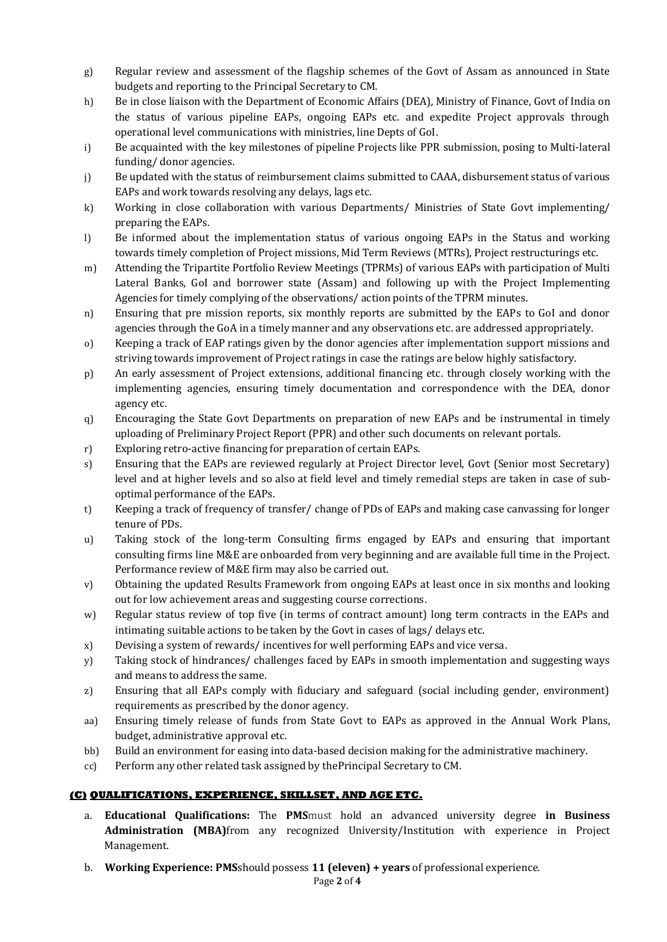- g) Regular review and assessment of the flagship schemes of the Govt of Assam as announced in State budgets and reporting to the Principal Secretary to CM.
- h) Be in close liaison with the Department of Economic Affairs (DEA), Ministry of Finance, Govt of India on the status of various pipeline EAPs, ongoing EAPs etc. and expedite Project approvals through operational level communications with ministries, line Depts of GoI.
- i) Be acquainted with the key milestones of pipeline Projects like PPR submission, posing to Multi-lateral funding/ donor agencies.
- j) Be updated with the status of reimbursement claims submitted to CAAA, disbursement status of various EAPs and work towards resolving any delays, lags etc.
- k) Working in close collaboration with various Departments/ Ministries of State Govt implementing/ preparing the EAPs.
- l) Be informed about the implementation status of various ongoing EAPs in the Status and working towards timely completion of Project missions, Mid Term Reviews (MTRs), Project restructurings etc.
- m) Attending the Tripartite Portfolio Review Meetings (TPRMs) of various EAPs with participation of Multi Lateral Banks, GoI and borrower state (Assam) and following up with the Project Implementing Agencies for timely complying of the observations/ action points of the TPRM minutes.
- n) Ensuring that pre mission reports, six monthly reports are submitted by the EAPs to GoI and donor agencies through the GoA in a timely manner and any observations etc. are addressed appropriately.
- o) Keeping a track of EAP ratings given by the donor agencies after implementation support missions and striving towards improvement of Project ratings in case the ratings are below highly satisfactory.
- p) An early assessment of Project extensions, additional financing etc. through closely working with the implementing agencies, ensuring timely documentation and correspondence with the DEA, donor agency etc.
- q) Encouraging the State Govt Departments on preparation of new EAPs and be instrumental in timely uploading of Preliminary Project Report (PPR) and other such documents on relevant portals.
- r) Exploring retro-active financing for preparation of certain EAPs.
- s) Ensuring that the EAPs are reviewed regularly at Project Director level, Govt (Senior most Secretary) level and at higher levels and so also at field level and timely remedial steps are taken in case of suboptimal performance of the EAPs.
- t) Keeping a track of frequency of transfer/ change of PDs of EAPs and making case canvassing for longer tenure of PDs.
- u) Taking stock of the long-term Consulting firms engaged by EAPs and ensuring that important consulting firms line M&E are onboarded from very beginning and are available full time in the Project. Performance review of M&E firm may also be carried out.
- v) Obtaining the updated Results Framework from ongoing EAPs at least once in six months and looking out for low achievement areas and suggesting course corrections.
- w) Regular status review of top five (in terms of contract amount) long term contracts in the EAPs and intimating suitable actions to be taken by the Govt in cases of lags/ delays etc.
- x) Devising a system of rewards/ incentives for well performing EAPs and vice versa.
- y) Taking stock of hindrances/ challenges faced by EAPs in smooth implementation and suggesting ways and means to address the same.
- z) Ensuring that all EAPs comply with fiduciary and safeguard (social including gender, environment) requirements as prescribed by the donor agency.
- aa) Ensuring timely release of funds from State Govt to EAPs as approved in the Annual Work Plans, budget, administrative approval etc.
- bb) Build an environment for easing into data-based decision making for the administrative machinery.
- cc) Perform any other related task assigned by thePrincipal Secretary to CM.

### **(C) QUALIFICATIONS, EXPERIENCE, SKILLSET, AND AGE ETC.**

- a. **Educational Qualifications:** The **PMS**must hold an advanced university degree **in Business Administration (MBA)**from any recognized University/Institution with experience in Project Management.
- b. **Working Experience: PMS**should possess **11 (eleven) + years** of professional experience.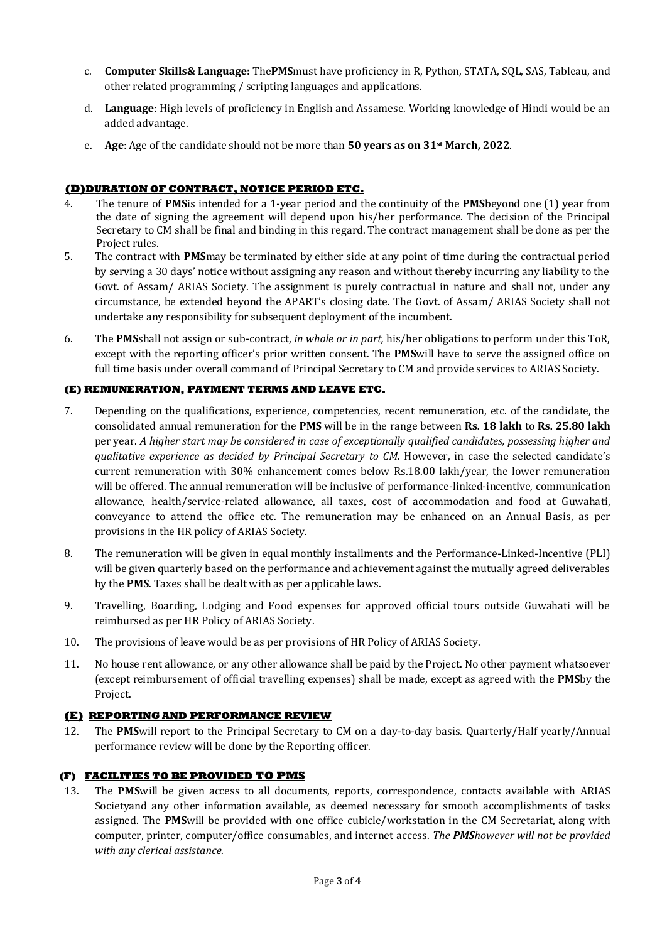- c. **Computer Skills& Language:** The**PMS**must have proficiency in R, Python, STATA, SQL, SAS, Tableau, and other related programming / scripting languages and applications.
- d. **Language**: High levels of proficiency in English and Assamese. Working knowledge of Hindi would be an added advantage.
- e. **Age**: Age of the candidate should not be more than **50 years as on 31st March, 2022**.

## **(D)DURATION OF CONTRACT, NOTICE PERIOD ETC.**

- 4. The tenure of **PMS**is intended for a 1-year period and the continuity of the **PMS**beyond one (1) year from the date of signing the agreement will depend upon his/her performance. The decision of the Principal Secretary to CM shall be final and binding in this regard. The contract management shall be done as per the Project rules.
- 5. The contract with **PMS**may be terminated by either side at any point of time during the contractual period by serving a 30 days' notice without assigning any reason and without thereby incurring any liability to the Govt. of Assam/ ARIAS Society. The assignment is purely contractual in nature and shall not, under any circumstance, be extended beyond the APART's closing date. The Govt. of Assam/ ARIAS Society shall not undertake any responsibility for subsequent deployment of the incumbent.
- 6. The **PMS**shall not assign or sub-contract, *in whole or in part,* his/her obligations to perform under this ToR, except with the reporting officer's prior written consent. The **PMS**will have to serve the assigned office on full time basis under overall command of Principal Secretary to CM and provide services to ARIAS Society.

## **(E) REMUNERATION, PAYMENT TERMS AND LEAVE ETC.**

- 7. Depending on the qualifications, experience, competencies, recent remuneration, etc. of the candidate, the consolidated annual remuneration for the **PMS** will be in the range between **Rs. 18 lakh** to **Rs. 25.80 lakh** per year. *A higher start may be considered in case of exceptionally qualified candidates, possessing higher and qualitative experience as decided by Principal Secretary to CM.* However, in case the selected candidate's current remuneration with 30% enhancement comes below Rs.18.00 lakh/year, the lower remuneration will be offered. The annual remuneration will be inclusive of performance-linked-incentive, communication allowance, health/service-related allowance, all taxes, cost of accommodation and food at Guwahati, conveyance to attend the office etc. The remuneration may be enhanced on an Annual Basis, as per provisions in the HR policy of ARIAS Society.
- 8. The remuneration will be given in equal monthly installments and the Performance-Linked-Incentive (PLI) will be given quarterly based on the performance and achievement against the mutually agreed deliverables by the **PMS**. Taxes shall be dealt with as per applicable laws.
- 9. Travelling, Boarding, Lodging and Food expenses for approved official tours outside Guwahati will be reimbursed as per HR Policy of ARIAS Society.
- 10. The provisions of leave would be as per provisions of HR Policy of ARIAS Society.
- 11. No house rent allowance, or any other allowance shall be paid by the Project. No other payment whatsoever (except reimbursement of official travelling expenses) shall be made, except as agreed with the **PMS**by the Project.

# **(E) REPORTING AND PERFORMANCE REVIEW**

12. The **PMS**will report to the Principal Secretary to CM on a day-to-day basis. Quarterly/Half yearly/Annual performance review will be done by the Reporting officer.

### **(F) FACILITIES TO BE PROVIDED TO PMS**

13. The **PMS**will be given access to all documents, reports, correspondence, contacts available with ARIAS Societyand any other information available, as deemed necessary for smooth accomplishments of tasks assigned. The **PMS**will be provided with one office cubicle/workstation in the CM Secretariat, along with computer, printer, computer/office consumables, and internet access. *The PMShowever will not be provided with any clerical assistance*.